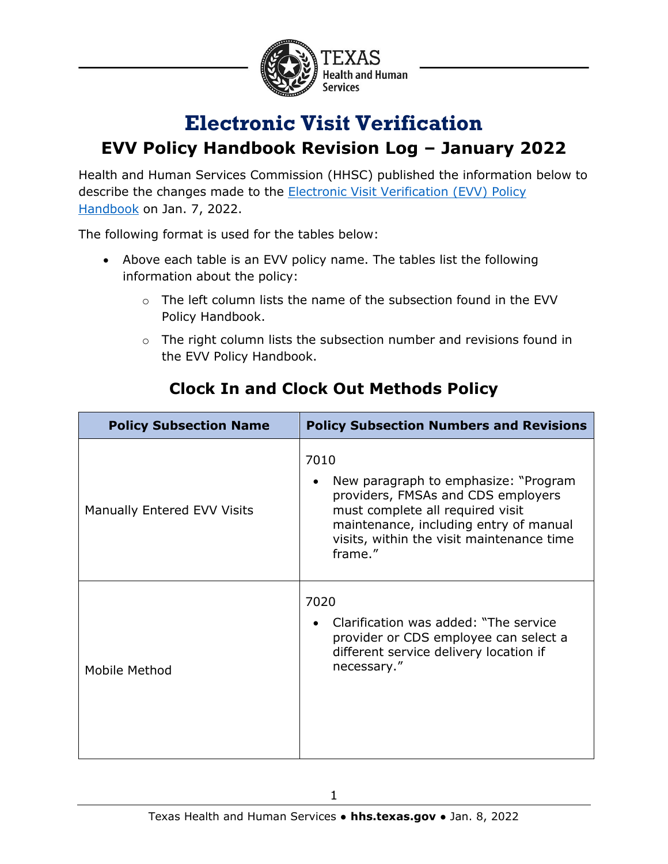

# **Electronic Visit Verification**

### **EVV Policy Handbook Revision Log – January 2022**

Health and Human Services Commission (HHSC) published the information below to describe the changes made to the [Electronic Visit Verification \(EVV\) Policy](https://www.hhs.texas.gov/laws-regulations/handbooks/evvpph/electronic-visit-verification-provider-policy-handbook)  [Handbook](https://www.hhs.texas.gov/laws-regulations/handbooks/evvpph/electronic-visit-verification-provider-policy-handbook) on Jan. 7, 2022.

The following format is used for the tables below:

- Above each table is an EVV policy name. The tables list the following information about the policy:
	- o The left column lists the name of the subsection found in the EVV Policy Handbook.
	- o The right column lists the subsection number and revisions found in the EVV Policy Handbook.

| <b>Policy Subsection Name</b> | <b>Policy Subsection Numbers and Revisions</b>                                                                                                                                                                                         |
|-------------------------------|----------------------------------------------------------------------------------------------------------------------------------------------------------------------------------------------------------------------------------------|
| Manually Entered EVV Visits   | 7010<br>New paragraph to emphasize: "Program"<br>$\bullet$<br>providers, FMSAs and CDS employers<br>must complete all required visit<br>maintenance, including entry of manual<br>visits, within the visit maintenance time<br>frame." |
| Mobile Method                 | 7020<br>Clarification was added: "The service"<br>provider or CDS employee can select a<br>different service delivery location if<br>necessary."                                                                                       |

#### **Clock In and Clock Out Methods Policy**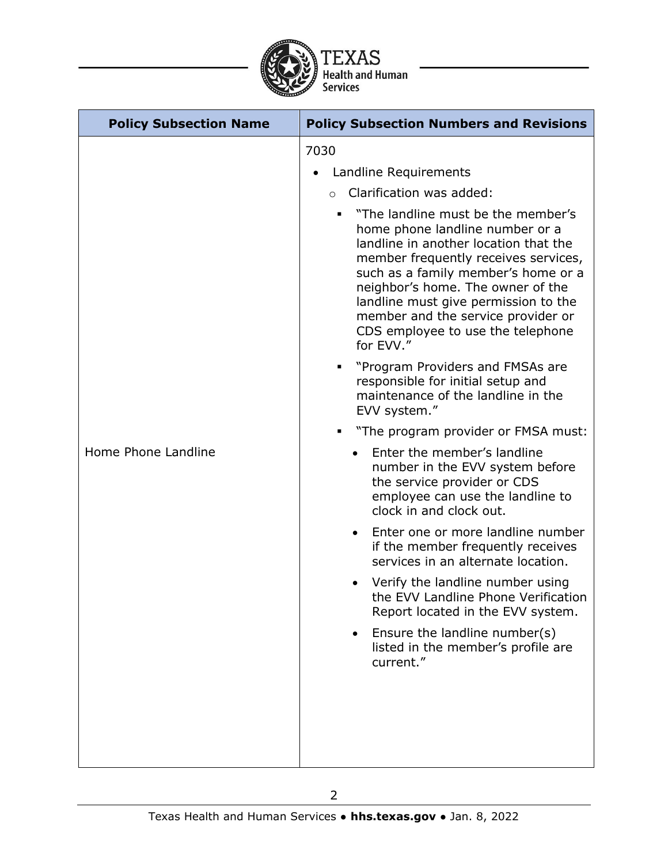

| <b>Policy Subsection Name</b> | <b>Policy Subsection Numbers and Revisions</b>                                                                                                                                                                                                                                                                                                                                                                                                                                                                                                                             |
|-------------------------------|----------------------------------------------------------------------------------------------------------------------------------------------------------------------------------------------------------------------------------------------------------------------------------------------------------------------------------------------------------------------------------------------------------------------------------------------------------------------------------------------------------------------------------------------------------------------------|
|                               | 7030<br>Landline Requirements<br>Clarification was added:<br>$\Omega$<br>"The landline must be the member's<br>home phone landline number or a<br>landline in another location that the<br>member frequently receives services,<br>such as a family member's home or a<br>neighbor's home. The owner of the<br>landline must give permission to the<br>member and the service provider or<br>CDS employee to use the telephone<br>for EVV."<br>"Program Providers and FMSAs are<br>responsible for initial setup and<br>maintenance of the landline in the<br>EVV system." |
| Home Phone Landline           | "The program provider or FMSA must:<br>Enter the member's landline<br>number in the EVV system before<br>the service provider or CDS<br>employee can use the landline to<br>clock in and clock out.<br>Enter one or more landline number<br>if the member frequently receives<br>services in an alternate location.<br>Verify the landline number using<br>the EVV Landline Phone Verification<br>Report located in the EVV system.<br>Ensure the landline number(s)<br>listed in the member's profile are<br>current."                                                    |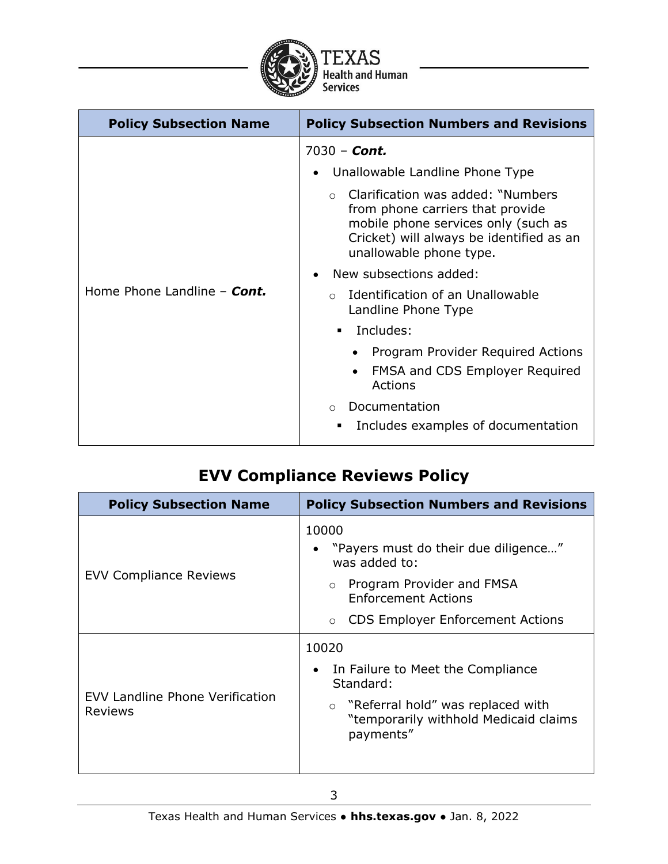

| <b>Policy Subsection Name</b> | <b>Policy Subsection Numbers and Revisions</b>                                                                                                                                                                                                                                                                                                                                 |
|-------------------------------|--------------------------------------------------------------------------------------------------------------------------------------------------------------------------------------------------------------------------------------------------------------------------------------------------------------------------------------------------------------------------------|
| Home Phone Landline - Cont.   | 7030 - <b>Cont.</b><br>Unallowable Landline Phone Type<br>Clarification was added: "Numbers<br>from phone carriers that provide<br>mobile phone services only (such as<br>Cricket) will always be identified as an<br>unallowable phone type.<br>New subsections added:<br>Identification of an Unallowable<br>$\bigcap$<br>Landline Phone Type<br>Includes:<br>$\blacksquare$ |
|                               | Program Provider Required Actions<br>FMSA and CDS Employer Required<br>$\bullet$<br><b>Actions</b>                                                                                                                                                                                                                                                                             |
|                               | Documentation<br>$\Omega$                                                                                                                                                                                                                                                                                                                                                      |
|                               | Includes examples of documentation<br>$\blacksquare$                                                                                                                                                                                                                                                                                                                           |

## **EVV Compliance Reviews Policy**

| <b>Policy Subsection Name</b>                     | <b>Policy Subsection Numbers and Revisions</b>                                                                                                                    |
|---------------------------------------------------|-------------------------------------------------------------------------------------------------------------------------------------------------------------------|
| <b>EVV Compliance Reviews</b>                     | 10000<br>"Payers must do their due diligence"<br>was added to:                                                                                                    |
|                                                   | Program Provider and FMSA<br>$\circ$<br><b>Enforcement Actions</b>                                                                                                |
|                                                   | <b>CDS Employer Enforcement Actions</b><br>$\circ$                                                                                                                |
| EVV Landline Phone Verification<br><b>Reviews</b> | 10020<br>In Failure to Meet the Compliance<br>$\bullet$<br>Standard:<br>○ "Referral hold" was replaced with<br>"temporarily withhold Medicaid claims<br>payments" |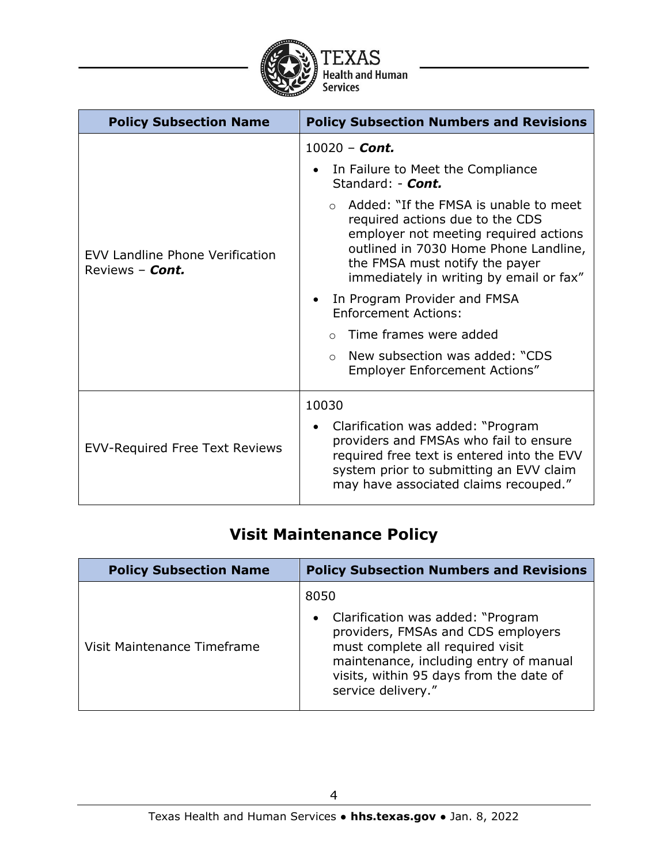

| <b>Policy Subsection Name</b>                                    | <b>Policy Subsection Numbers and Revisions</b>                                                                                                                                                                                          |
|------------------------------------------------------------------|-----------------------------------------------------------------------------------------------------------------------------------------------------------------------------------------------------------------------------------------|
| <b>EVV Landline Phone Verification</b><br>Reviews - <i>Cont.</i> | $10020 -$ <i>Cont.</i>                                                                                                                                                                                                                  |
|                                                                  | In Failure to Meet the Compliance<br>Standard: - Cont.                                                                                                                                                                                  |
|                                                                  | Added: "If the FMSA is unable to meet<br>required actions due to the CDS<br>employer not meeting required actions<br>outlined in 7030 Home Phone Landline,<br>the FMSA must notify the payer<br>immediately in writing by email or fax" |
|                                                                  | In Program Provider and FMSA<br><b>Enforcement Actions:</b>                                                                                                                                                                             |
|                                                                  | $\circ$ Time frames were added                                                                                                                                                                                                          |
|                                                                  | $\circ$ New subsection was added: "CDS<br><b>Employer Enforcement Actions"</b>                                                                                                                                                          |
| <b>EVV-Required Free Text Reviews</b>                            | 10030                                                                                                                                                                                                                                   |
|                                                                  | Clarification was added: "Program"<br>٠<br>providers and FMSAs who fail to ensure<br>required free text is entered into the EVV<br>system prior to submitting an EVV claim<br>may have associated claims recouped."                     |

### **Visit Maintenance Policy**

| <b>Policy Subsection Name</b> | <b>Policy Subsection Numbers and Revisions</b>                                                                                                                                                                                              |
|-------------------------------|---------------------------------------------------------------------------------------------------------------------------------------------------------------------------------------------------------------------------------------------|
| Visit Maintenance Timeframe   | 8050<br>Clarification was added: "Program<br>$\bullet$<br>providers, FMSAs and CDS employers<br>must complete all required visit<br>maintenance, including entry of manual<br>visits, within 95 days from the date of<br>service delivery." |